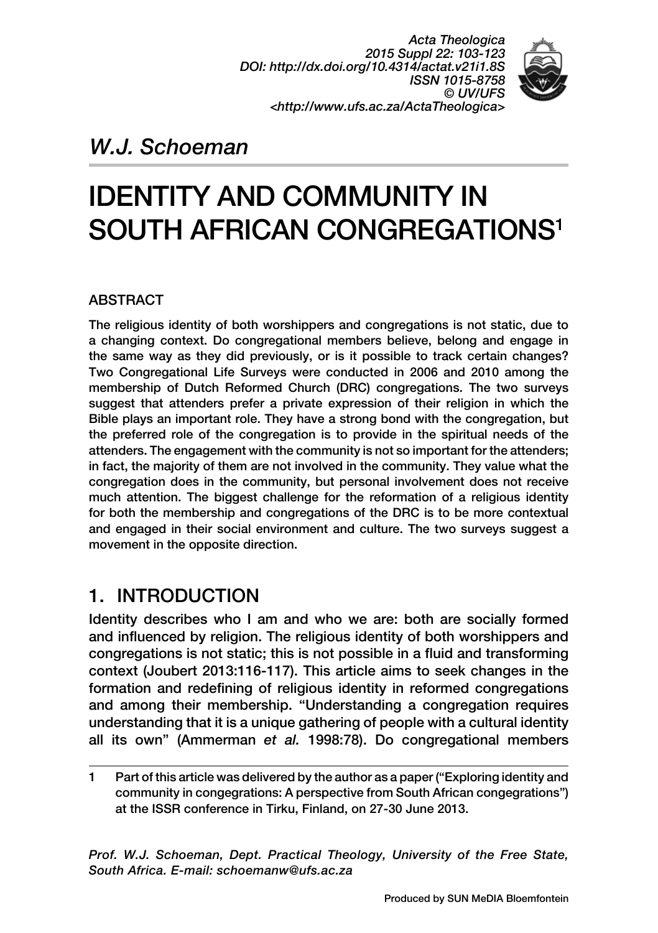*Acta Theologica 2015 Suppl 22: 103-123 DOI: http://dx.doi.org/10.4314/actat.v21i1.8S ISSN 1015-8758 © UV/UFS <http://www.ufs.ac.za/ActaTheologica>*



## *W.J. Schoeman*

# IDENTITY AND COMMUNITY IN SOUTH AFRICAN CONGREGATIONS1

#### **ARSTRACT**

The religious identity of both worshippers and congregations is not static, due to a changing context. Do congregational members believe, belong and engage in the same way as they did previously, or is it possible to track certain changes? Two Congregational Life Surveys were conducted in 2006 and 2010 among the membership of Dutch Reformed Church (DRC) congregations. The two surveys suggest that attenders prefer a private expression of their religion in which the Bible plays an important role. They have a strong bond with the congregation, but the preferred role of the congregation is to provide in the spiritual needs of the attenders. The engagement with the community is not so important for the attenders; in fact, the majority of them are not involved in the community. They value what the congregation does in the community, but personal involvement does not receive much attention. The biggest challenge for the reformation of a religious identity for both the membership and congregations of the DRC is to be more contextual and engaged in their social environment and culture. The two surveys suggest a movement in the opposite direction.

### 1. INTRODUCTION

Identity describes who I am and who we are: both are socially formed and influenced by religion. The religious identity of both worshippers and congregations is not static; this is not possible in a fluid and transforming context (Joubert 2013:116-117). This article aims to seek changes in the formation and redefining of religious identity in reformed congregations and among their membership. "Understanding a congregation requires understanding that it is a unique gathering of people with a cultural identity all its own" (Ammerman *et al.* 1998:78). Do congregational members

1 Part of this article was delivered by the author as a paper ("Exploring identity and community in congegrations: A perspective from South African congegrations") at the ISSR conference in Tirku, Finland, on 27-30 June 2013.

*Prof. W.J. Schoeman, Dept. Practical Theology, University of the Free State, South Africa. E-mail: schoemanw@ufs.ac.za*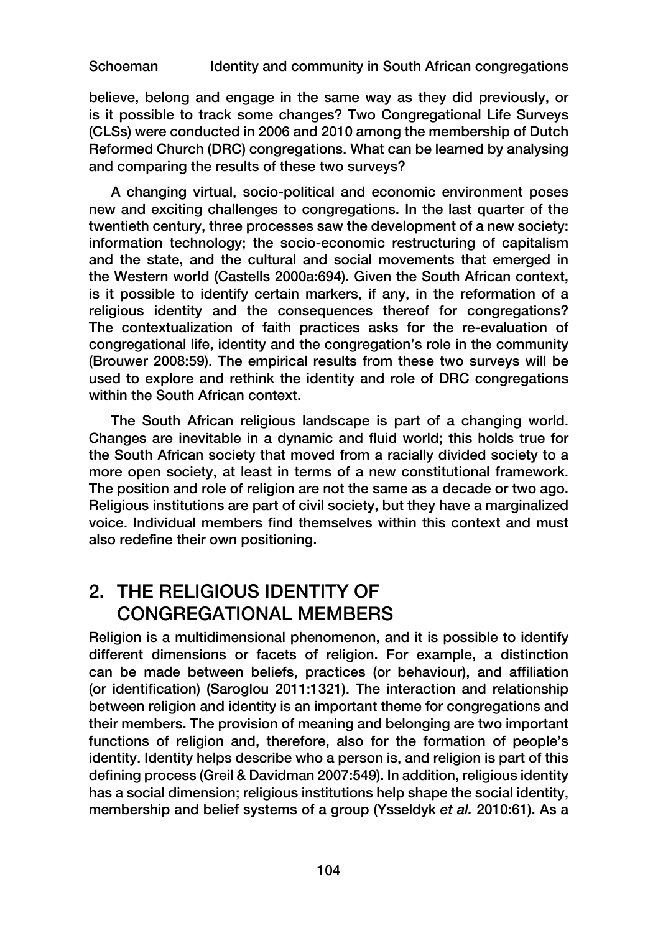believe, belong and engage in the same way as they did previously, or is it possible to track some changes? Two Congregational Life Surveys (CLSs) were conducted in 2006 and 2010 among the membership of Dutch Reformed Church (DRC) congregations. What can be learned by analysing and comparing the results of these two surveys?

A changing virtual, socio-political and economic environment poses new and exciting challenges to congregations. In the last quarter of the twentieth century, three processes saw the development of a new society: information technology; the socio-economic restructuring of capitalism and the state, and the cultural and social movements that emerged in the Western world (Castells 2000a:694). Given the South African context, is it possible to identify certain markers, if any, in the reformation of a religious identity and the consequences thereof for congregations? The contextualization of faith practices asks for the re-evaluation of congregational life, identity and the congregation's role in the community (Brouwer 2008:59). The empirical results from these two surveys will be used to explore and rethink the identity and role of DRC congregations within the South African context.

The South African religious landscape is part of a changing world. Changes are inevitable in a dynamic and fluid world; this holds true for the South African society that moved from a racially divided society to a more open society, at least in terms of a new constitutional framework. The position and role of religion are not the same as a decade or two ago. Religious institutions are part of civil society, but they have a marginalized voice. Individual members find themselves within this context and must also redefine their own positioning.

### 2. THE RELIGIOUS IDENTITY OF CONGREGATIONAL MEMBERS

Religion is a multidimensional phenomenon, and it is possible to identify different dimensions or facets of religion. For example, a distinction can be made between beliefs, practices (or behaviour), and affiliation (or identification) (Saroglou 2011:1321). The interaction and relationship between religion and identity is an important theme for congregations and their members. The provision of meaning and belonging are two important functions of religion and, therefore, also for the formation of people's identity. Identity helps describe who a person is, and religion is part of this defining process (Greil & Davidman 2007:549). In addition, religious identity has a social dimension; religious institutions help shape the social identity, membership and belief systems of a group (Ysseldyk *et al.* 2010:61). As a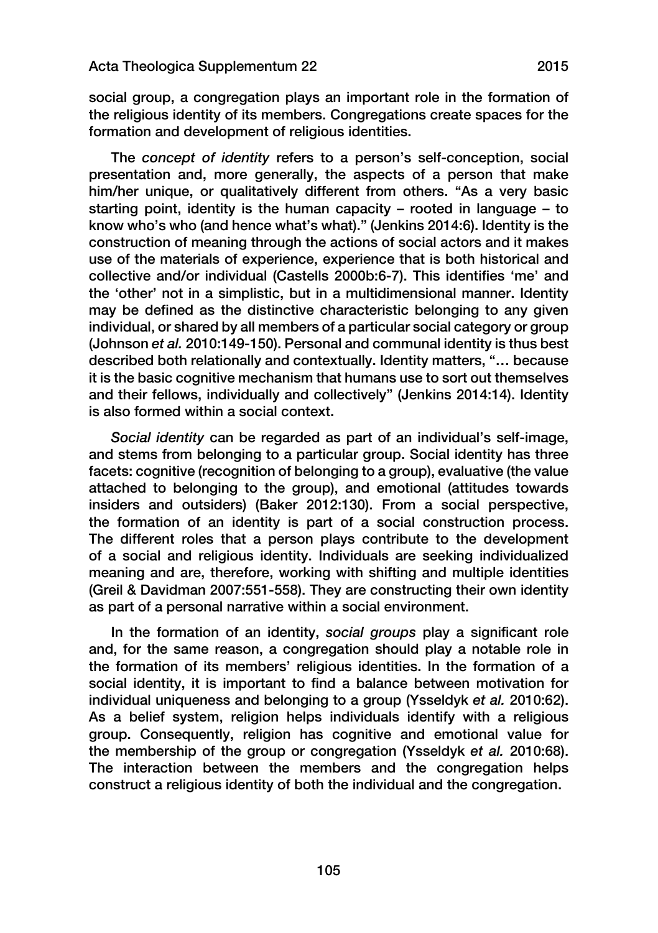social group, a congregation plays an important role in the formation of the religious identity of its members. Congregations create spaces for the formation and development of religious identities.

The *concept of identity* refers to a person's self-conception, social presentation and, more generally, the aspects of a person that make him/her unique, or qualitatively different from others. "As a very basic starting point, identity is the human capacity – rooted in language – to know who's who (and hence what's what)." (Jenkins 2014:6). Identity is the construction of meaning through the actions of social actors and it makes use of the materials of experience, experience that is both historical and collective and/or individual (Castells 2000b:6-7). This identifies 'me' and the 'other' not in a simplistic, but in a multidimensional manner. Identity may be defined as the distinctive characteristic belonging to any given individual, or shared by all members of a particular social category or group (Johnson *et al.* 2010:149-150). Personal and communal identity is thus best described both relationally and contextually. Identity matters, "… because it is the basic cognitive mechanism that humans use to sort out themselves and their fellows, individually and collectively" (Jenkins 2014:14). Identity is also formed within a social context.

*Social identity* can be regarded as part of an individual's self-image, and stems from belonging to a particular group. Social identity has three facets: cognitive (recognition of belonging to a group), evaluative (the value attached to belonging to the group), and emotional (attitudes towards insiders and outsiders) (Baker 2012:130). From a social perspective, the formation of an identity is part of a social construction process. The different roles that a person plays contribute to the development of a social and religious identity. Individuals are seeking individualized meaning and are, therefore, working with shifting and multiple identities (Greil & Davidman 2007:551-558). They are constructing their own identity as part of a personal narrative within a social environment.

In the formation of an identity, *social groups* play a significant role and, for the same reason, a congregation should play a notable role in the formation of its members' religious identities. In the formation of a social identity, it is important to find a balance between motivation for individual uniqueness and belonging to a group (Ysseldyk *et al.* 2010:62). As a belief system, religion helps individuals identify with a religious group. Consequently, religion has cognitive and emotional value for the membership of the group or congregation (Ysseldyk *et al.* 2010:68). The interaction between the members and the congregation helps construct a religious identity of both the individual and the congregation.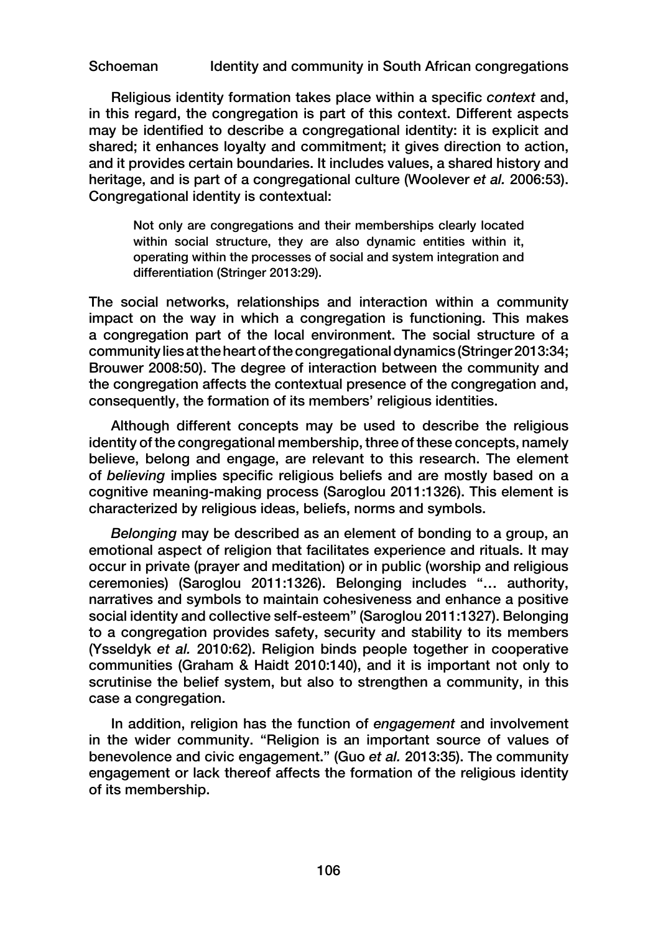Religious identity formation takes place within a specific *context* and, in this regard, the congregation is part of this context. Different aspects may be identified to describe a congregational identity: it is explicit and shared; it enhances loyalty and commitment; it gives direction to action, and it provides certain boundaries. It includes values, a shared history and heritage, and is part of a congregational culture (Woolever *et al.* 2006:53). Congregational identity is contextual:

Not only are congregations and their memberships clearly located within social structure, they are also dynamic entities within it, operating within the processes of social and system integration and differentiation (Stringer 2013:29).

The social networks, relationships and interaction within a community impact on the way in which a congregation is functioning. This makes a congregation part of the local environment. The social structure of a community lies at the heart of the congregational dynamics (Stringer 2013:34; Brouwer 2008:50). The degree of interaction between the community and the congregation affects the contextual presence of the congregation and, consequently, the formation of its members' religious identities.

Although different concepts may be used to describe the religious identity of the congregational membership, three of these concepts, namely believe, belong and engage, are relevant to this research. The element of *believing* implies specific religious beliefs and are mostly based on a cognitive meaning-making process (Saroglou 2011:1326). This element is characterized by religious ideas, beliefs, norms and symbols.

*Belonging* may be described as an element of bonding to a group, an emotional aspect of religion that facilitates experience and rituals. It may occur in private (prayer and meditation) or in public (worship and religious ceremonies) (Saroglou 2011:1326). Belonging includes "… authority, narratives and symbols to maintain cohesiveness and enhance a positive social identity and collective self-esteem" (Saroglou 2011:1327). Belonging to a congregation provides safety, security and stability to its members (Ysseldyk *et al.* 2010:62). Religion binds people together in cooperative communities (Graham & Haidt 2010:140), and it is important not only to scrutinise the belief system, but also to strengthen a community, in this case a congregation.

In addition, religion has the function of *engagement* and involvement in the wider community. "Religion is an important source of values of benevolence and civic engagement." (Guo *et al.* 2013:35). The community engagement or lack thereof affects the formation of the religious identity of its membership.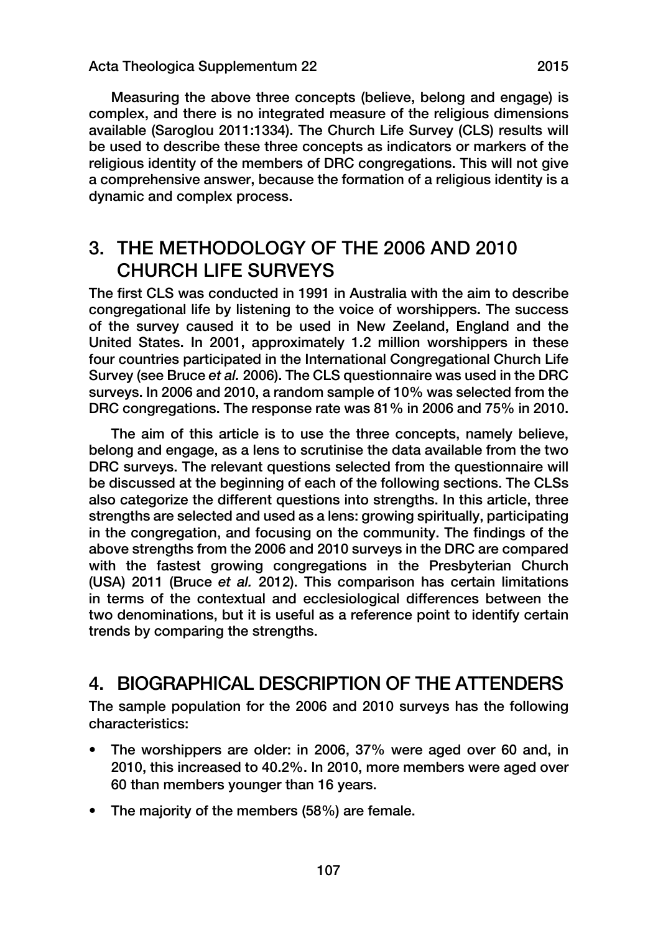Measuring the above three concepts (believe, belong and engage) is complex, and there is no integrated measure of the religious dimensions available (Saroglou 2011:1334). The Church Life Survey (CLS) results will be used to describe these three concepts as indicators or markers of the religious identity of the members of DRC congregations. This will not give a comprehensive answer, because the formation of a religious identity is a dynamic and complex process.

### 3. THE METHODOLOGY OF THE 2006 AND 2010 CHURCH LIFE SURVEYS

The first CLS was conducted in 1991 in Australia with the aim to describe congregational life by listening to the voice of worshippers. The success of the survey caused it to be used in New Zeeland, England and the United States. In 2001, approximately 1.2 million worshippers in these four countries participated in the International Congregational Church Life Survey (see Bruce *et al.* 2006). The CLS questionnaire was used in the DRC surveys. In 2006 and 2010, a random sample of 10% was selected from the DRC congregations. The response rate was 81% in 2006 and 75% in 2010.

The aim of this article is to use the three concepts, namely believe, belong and engage, as a lens to scrutinise the data available from the two DRC surveys. The relevant questions selected from the questionnaire will be discussed at the beginning of each of the following sections. The CLSs also categorize the different questions into strengths. In this article, three strengths are selected and used as a lens: growing spiritually, participating in the congregation, and focusing on the community. The findings of the above strengths from the 2006 and 2010 surveys in the DRC are compared with the fastest growing congregations in the Presbyterian Church (USA) 2011 (Bruce *et al.* 2012). This comparison has certain limitations in terms of the contextual and ecclesiological differences between the two denominations, but it is useful as a reference point to identify certain trends by comparing the strengths.

### 4. BIOGRAPHICAL DESCRIPTION OF THE ATTENDERS

The sample population for the 2006 and 2010 surveys has the following characteristics:

- The worshippers are older: in 2006, 37% were aged over 60 and, in 2010, this increased to 40.2%. In 2010, more members were aged over 60 than members younger than 16 years.
- The majority of the members (58%) are female.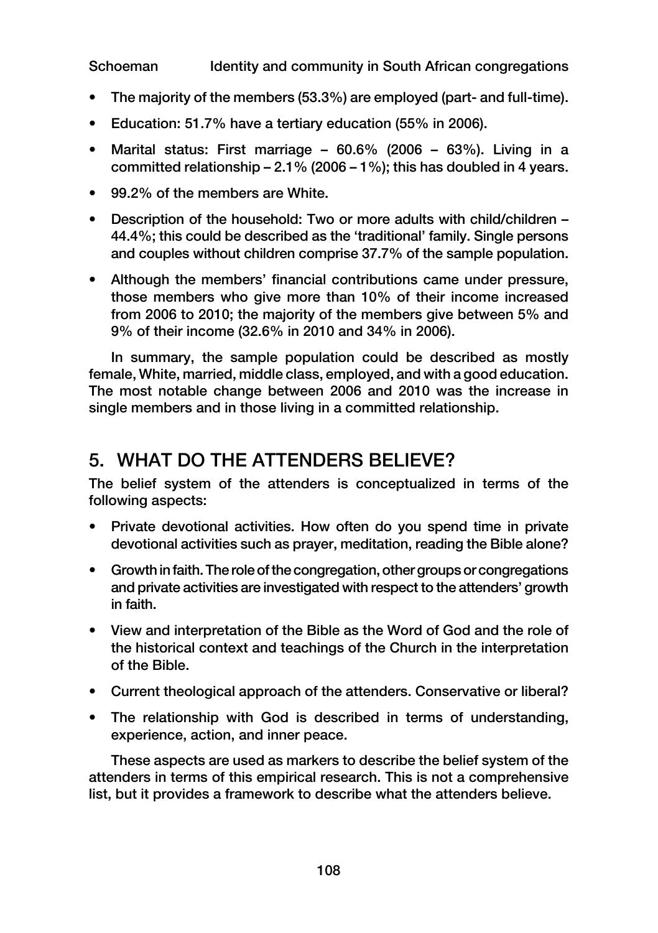- The majority of the members (53.3%) are employed (part- and full-time).
- Education: 51.7% have a tertiary education (55% in 2006).
- Marital status: First marriage 60.6% (2006 63%). Living in a committed relationship  $-2.1\%$  (2006 – 1%); this has doubled in 4 years.
- 99.2% of the members are White.
- Description of the household: Two or more adults with child/children 44.4%; this could be described as the 'traditional' family. Single persons and couples without children comprise 37.7% of the sample population.
- Although the members' financial contributions came under pressure, those members who give more than 10% of their income increased from 2006 to 2010; the majority of the members give between 5% and 9% of their income (32.6% in 2010 and 34% in 2006).

In summary, the sample population could be described as mostly female, White, married, middle class, employed, and with a good education. The most notable change between 2006 and 2010 was the increase in single members and in those living in a committed relationship.

### 5. WHAT DO THE ATTENDERS BELIEVE?

The belief system of the attenders is conceptualized in terms of the following aspects:

- Private devotional activities. How often do you spend time in private devotional activities such as prayer, meditation, reading the Bible alone?
- Growth in faith. The role of the congregation, other groups or congregations and private activities are investigated with respect to the attenders' growth in faith.
- View and interpretation of the Bible as the Word of God and the role of the historical context and teachings of the Church in the interpretation of the Bible.
- Current theological approach of the attenders. Conservative or liberal?
- The relationship with God is described in terms of understanding, experience, action, and inner peace.

These aspects are used as markers to describe the belief system of the attenders in terms of this empirical research. This is not a comprehensive list, but it provides a framework to describe what the attenders believe.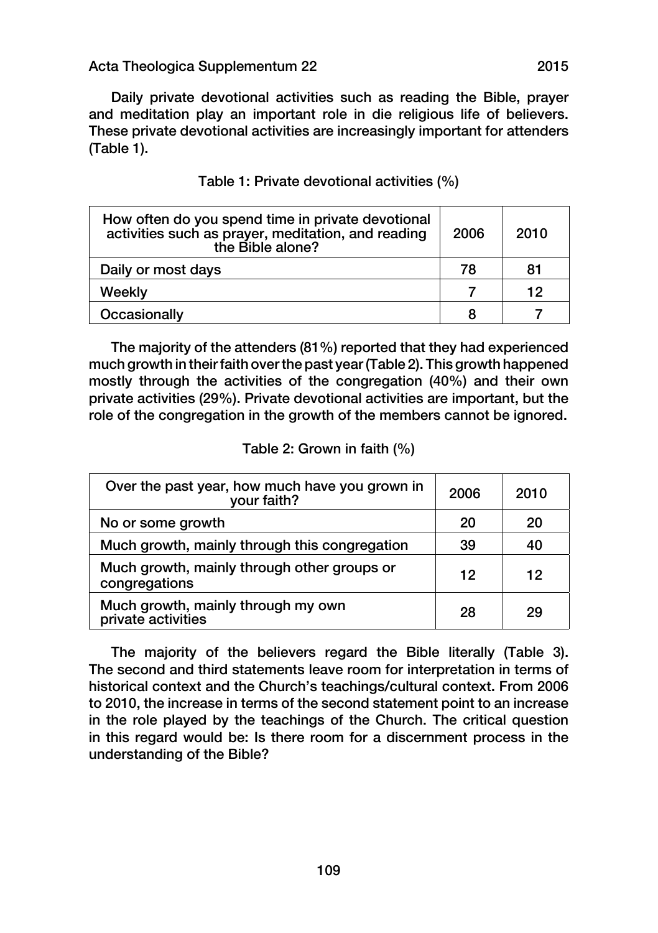Daily private devotional activities such as reading the Bible, prayer and meditation play an important role in die religious life of believers. These private devotional activities are increasingly important for attenders (Table 1).

| How often do you spend time in private devotional<br>activities such as prayer, meditation, and reading<br>the Bible alone? | 2006 | 2010 |
|-----------------------------------------------------------------------------------------------------------------------------|------|------|
| Daily or most days                                                                                                          | 78   | 81   |
| Weekly                                                                                                                      |      | 12   |
| Occasionally                                                                                                                |      |      |

The majority of the attenders (81%) reported that they had experienced much growth in their faith over the past year (Table 2). This growth happened mostly through the activities of the congregation (40%) and their own private activities (29%). Private devotional activities are important, but the role of the congregation in the growth of the members cannot be ignored.

#### Table 2: Grown in faith (%)

| Over the past year, how much have you grown in<br>your faith? | 2006 | 2010 |
|---------------------------------------------------------------|------|------|
| No or some growth                                             | 20   | 20   |
| Much growth, mainly through this congregation                 | 39   | 40   |
| Much growth, mainly through other groups or<br>congregations  | 12   | 12   |
| Much growth, mainly through my own<br>private activities      | 28   | 29   |

The majority of the believers regard the Bible literally (Table 3). The second and third statements leave room for interpretation in terms of historical context and the Church's teachings/cultural context. From 2006 to 2010, the increase in terms of the second statement point to an increase in the role played by the teachings of the Church. The critical question in this regard would be: Is there room for a discernment process in the understanding of the Bible?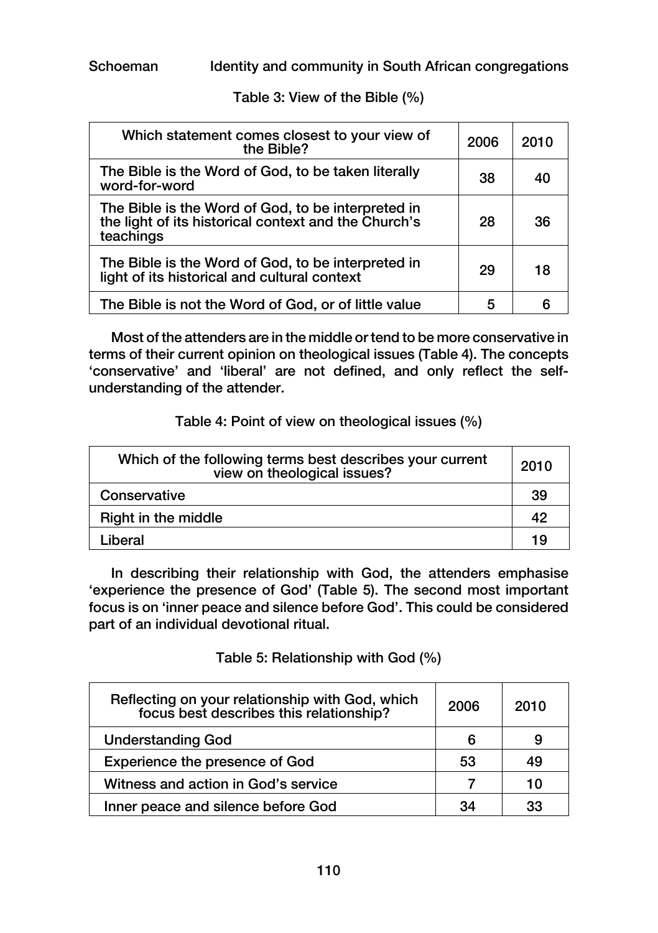Table 3: View of the Bible (%)

| Which statement comes closest to your view of<br>the Bible?                                                             | 2006 | 2010 |
|-------------------------------------------------------------------------------------------------------------------------|------|------|
| The Bible is the Word of God, to be taken literally<br>word-for-word                                                    | 38   | 40   |
| The Bible is the Word of God, to be interpreted in<br>the light of its historical context and the Church's<br>teachings | 28   | 36   |
| The Bible is the Word of God, to be interpreted in<br>light of its historical and cultural context                      | 29   | 18   |
| The Bible is not the Word of God, or of little value                                                                    | 5    |      |

Most of the attenders are in the middle or tend to be more conservative in terms of their current opinion on theological issues (Table 4). The concepts 'conservative' and 'liberal' are not defined, and only reflect the selfunderstanding of the attender.

Table 4: Point of view on theological issues (%)

| Which of the following terms best describes your current<br>view on theological issues? | 2010 |
|-----------------------------------------------------------------------------------------|------|
| Conservative                                                                            | 39   |
| Right in the middle                                                                     | 42   |
| Liberal                                                                                 | 19   |

In describing their relationship with God, the attenders emphasise 'experience the presence of God' (Table 5). The second most important focus is on 'inner peace and silence before God'. This could be considered part of an individual devotional ritual.

Table 5: Relationship with God (%)

| Reflecting on your relationship with God, which<br>focus best describes this relationship? | 2006 | 2010  |
|--------------------------------------------------------------------------------------------|------|-------|
| <b>Understanding God</b>                                                                   | 6    | 9     |
| <b>Experience the presence of God</b>                                                      | 53   | 49    |
| Witness and action in God's service                                                        |      | 1 ( ) |
| Inner peace and silence before God                                                         | 34   | 33    |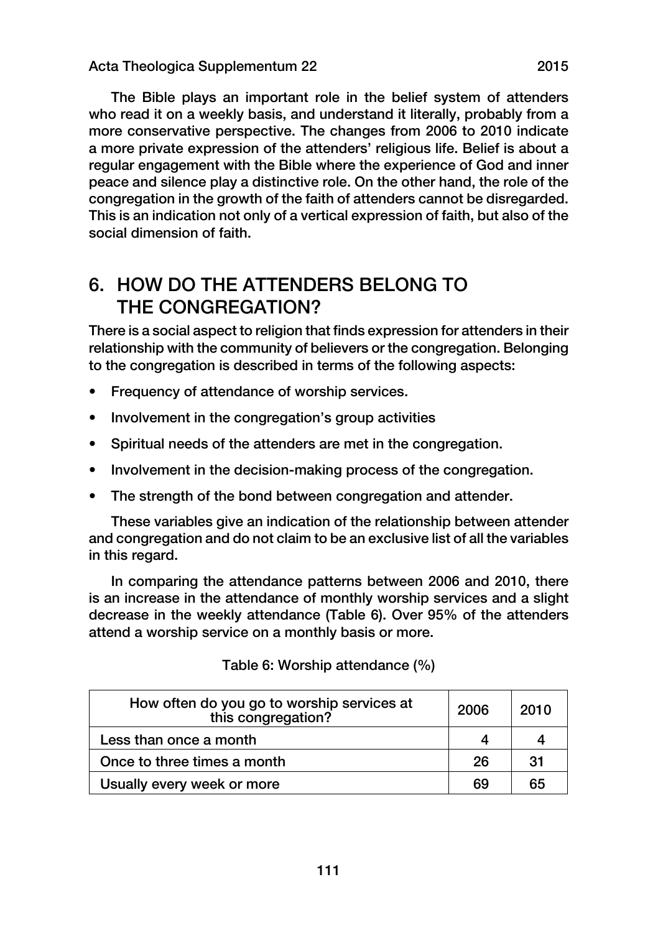The Bible plays an important role in the belief system of attenders who read it on a weekly basis, and understand it literally, probably from a more conservative perspective. The changes from 2006 to 2010 indicate a more private expression of the attenders' religious life. Belief is about a regular engagement with the Bible where the experience of God and inner peace and silence play a distinctive role. On the other hand, the role of the congregation in the growth of the faith of attenders cannot be disregarded. This is an indication not only of a vertical expression of faith, but also of the social dimension of faith.

### 6. HOW DO THE ATTENDERS BELONG TO THE CONGREGATION?

There is a social aspect to religion that finds expression for attenders in their relationship with the community of believers or the congregation. Belonging to the congregation is described in terms of the following aspects:

- Frequency of attendance of worship services.
- Involvement in the congregation's group activities
- Spiritual needs of the attenders are met in the congregation.
- Involvement in the decision-making process of the congregation.
- The strength of the bond between congregation and attender.

These variables give an indication of the relationship between attender and congregation and do not claim to be an exclusive list of all the variables in this regard.

In comparing the attendance patterns between 2006 and 2010, there is an increase in the attendance of monthly worship services and a slight decrease in the weekly attendance (Table 6). Over 95% of the attenders attend a worship service on a monthly basis or more.

| How often do you go to worship services at<br>this congregation? | 2006 | 2010 |
|------------------------------------------------------------------|------|------|
| Less than once a month                                           |      |      |
| Once to three times a month                                      | 26   | 31   |
| Usually every week or more                                       | 69   | 65   |

|  |  | Table 6: Worship attendance (%) |  |
|--|--|---------------------------------|--|
|--|--|---------------------------------|--|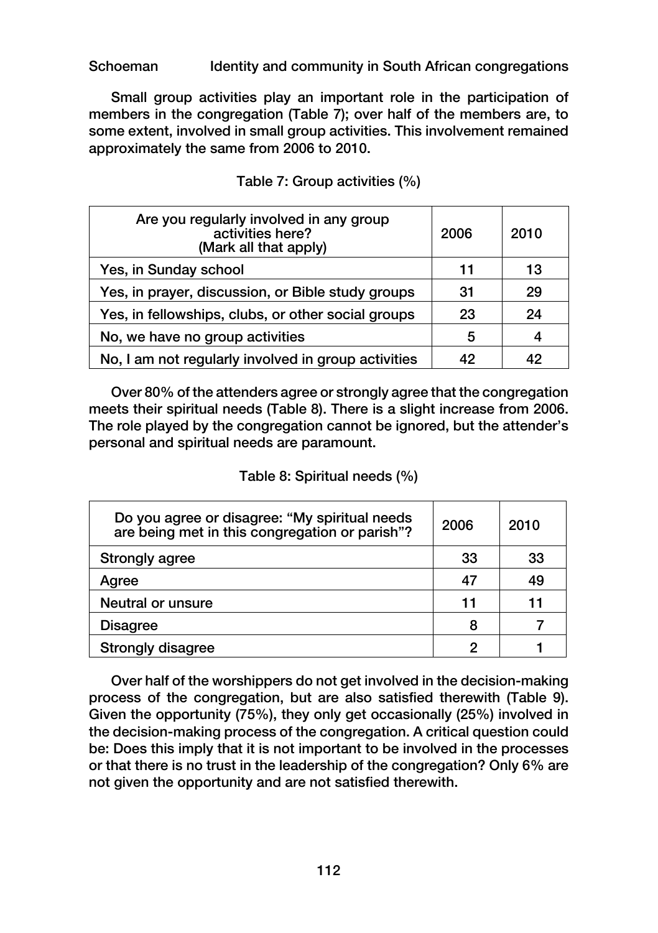Small group activities play an important role in the participation of members in the congregation (Table 7); over half of the members are, to some extent, involved in small group activities. This involvement remained approximately the same from 2006 to 2010.

| Are you regularly involved in any group<br>activities here?<br>(Mark all that apply) | 2006 | 2010 |
|--------------------------------------------------------------------------------------|------|------|
| Yes, in Sunday school                                                                | 11   | 13   |
| Yes, in prayer, discussion, or Bible study groups                                    | 31   | 29   |
| Yes, in fellowships, clubs, or other social groups                                   | 23   | 24   |
| No, we have no group activities                                                      | 5    |      |
| No, I am not regularly involved in group activities                                  | 42   |      |

Table 7: Group activities (%)

Over 80% of the attenders agree or strongly agree that the congregation meets their spiritual needs (Table 8). There is a slight increase from 2006. The role played by the congregation cannot be ignored, but the attender's personal and spiritual needs are paramount.

#### Table 8: Spiritual needs (%)

| Do you agree or disagree: "My spiritual needs<br>are being met in this congregation or parish"? | 2006 | 2010 |
|-------------------------------------------------------------------------------------------------|------|------|
| <b>Strongly agree</b>                                                                           | 33   | 33   |
| Agree                                                                                           |      | 49   |
| Neutral or unsure                                                                               | 11   | 11   |
| <b>Disagree</b>                                                                                 | 8    |      |
| <b>Strongly disagree</b>                                                                        |      |      |

Over half of the worshippers do not get involved in the decision-making process of the congregation, but are also satisfied therewith (Table 9). Given the opportunity (75%), they only get occasionally (25%) involved in the decision-making process of the congregation. A critical question could be: Does this imply that it is not important to be involved in the processes or that there is no trust in the leadership of the congregation? Only 6% are not given the opportunity and are not satisfied therewith.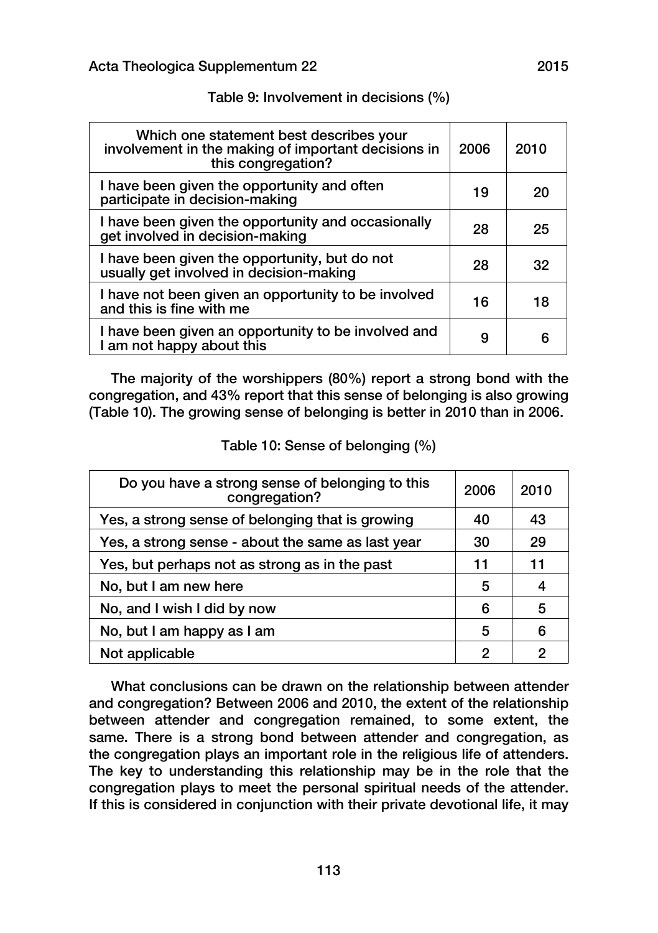| Which one statement best describes your<br>involvement in the making of important decisions in<br>this congregation? | 2006 | 2010 |
|----------------------------------------------------------------------------------------------------------------------|------|------|
| I have been given the opportunity and often<br>participate in decision-making                                        | 19   | 20   |
| I have been given the opportunity and occasionally<br>get involved in decision-making                                | 28   | 25   |
| I have been given the opportunity, but do not<br>usually get involved in decision-making                             | 28   | 32   |
| I have not been given an opportunity to be involved<br>and this is fine with me                                      | 16   | 18   |
| I have been given an opportunity to be involved and<br>I am not happy about this                                     | 9    | Б    |

#### Table 9: Involvement in decisions (%)

The majority of the worshippers (80%) report a strong bond with the congregation, and 43% report that this sense of belonging is also growing (Table 10). The growing sense of belonging is better in 2010 than in 2006.

#### Table 10: Sense of belonging (%)

| Do you have a strong sense of belonging to this<br>congregation? | 2006 | 2010 |
|------------------------------------------------------------------|------|------|
| Yes, a strong sense of belonging that is growing                 | 40   | 43   |
| Yes, a strong sense - about the same as last year                | 30   | 29   |
| Yes, but perhaps not as strong as in the past                    | 11   | 11   |
| No, but I am new here                                            | 5    | 4    |
| No, and I wish I did by now                                      | 6    | 5    |
| No, but I am happy as I am                                       | 5    | 6    |
| Not applicable                                                   | 2    | 2    |

What conclusions can be drawn on the relationship between attender and congregation? Between 2006 and 2010, the extent of the relationship between attender and congregation remained, to some extent, the same. There is a strong bond between attender and congregation, as the congregation plays an important role in the religious life of attenders. The key to understanding this relationship may be in the role that the congregation plays to meet the personal spiritual needs of the attender. If this is considered in conjunction with their private devotional life, it may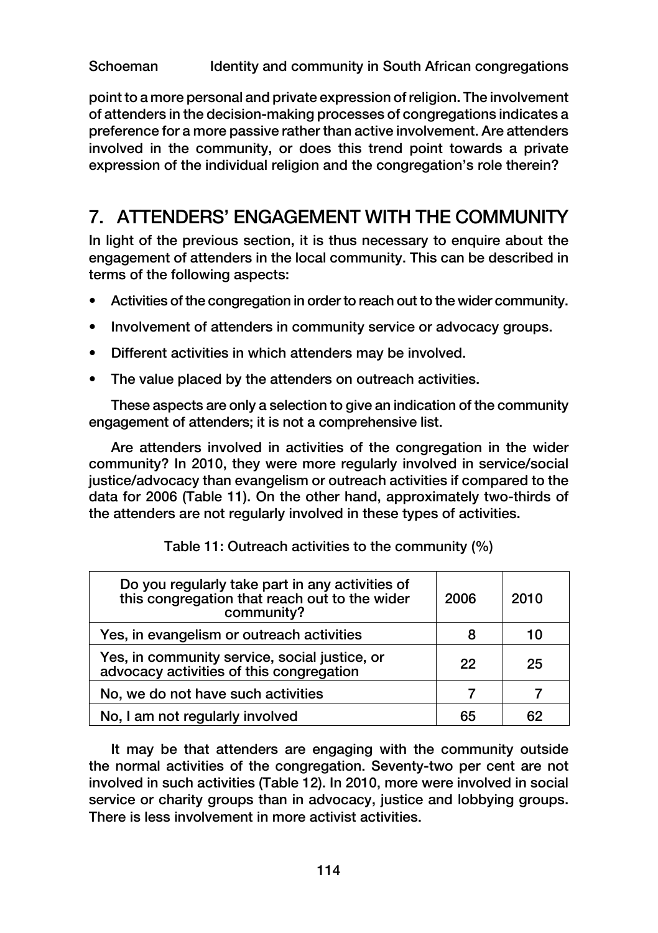point to a more personal and private expression of religion. The involvement of attenders in the decision-making processes of congregations indicates a preference for a more passive rather than active involvement. Are attenders involved in the community, or does this trend point towards a private expression of the individual religion and the congregation's role therein?

### 7. ATTENDERS' ENGAGEMENT WITH THE COMMUNITY

In light of the previous section, it is thus necessary to enquire about the engagement of attenders in the local community. This can be described in terms of the following aspects:

- Activities of the congregation in order to reach out to the wider community.
- Involvement of attenders in community service or advocacy groups.
- Different activities in which attenders may be involved.
- The value placed by the attenders on outreach activities.

These aspects are only a selection to give an indication of the community engagement of attenders; it is not a comprehensive list.

Are attenders involved in activities of the congregation in the wider community? In 2010, they were more regularly involved in service/social justice/advocacy than evangelism or outreach activities if compared to the data for 2006 (Table 11). On the other hand, approximately two-thirds of the attenders are not regularly involved in these types of activities.

| Do you regularly take part in any activities of<br>this congregation that reach out to the wider<br>community? | 2006 | 2010 |
|----------------------------------------------------------------------------------------------------------------|------|------|
| Yes, in evangelism or outreach activities                                                                      |      | 10   |
| Yes, in community service, social justice, or<br>advocacy activities of this congregation                      | 22   | 25   |
| No, we do not have such activities                                                                             |      |      |
| No, I am not regularly involved                                                                                | 65   | 62   |

| Table 11: Outreach activities to the community (%) |
|----------------------------------------------------|
|----------------------------------------------------|

It may be that attenders are engaging with the community outside the normal activities of the congregation. Seventy-two per cent are not involved in such activities (Table 12). In 2010, more were involved in social service or charity groups than in advocacy, justice and lobbying groups. There is less involvement in more activist activities.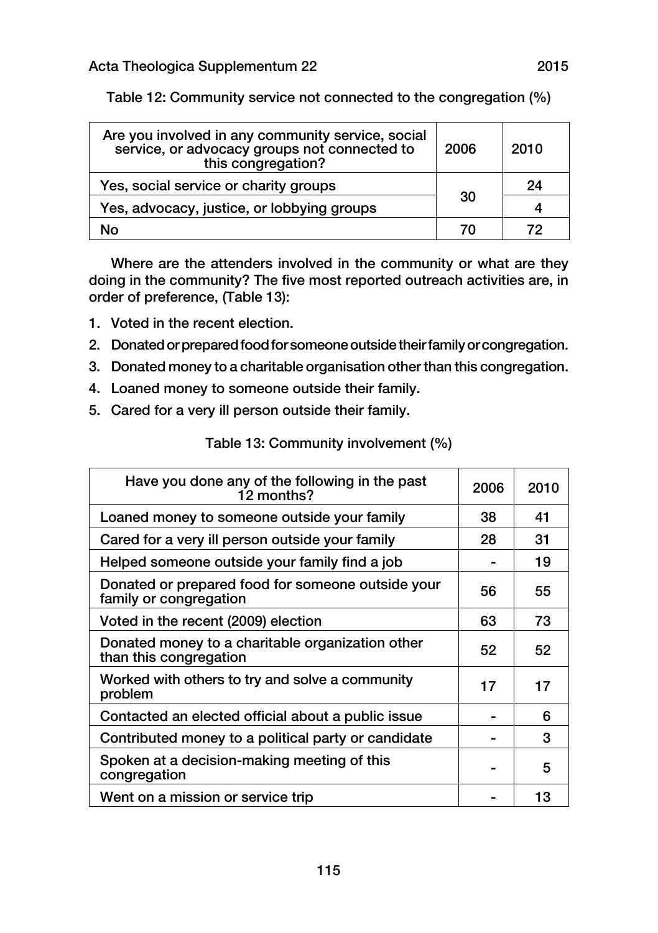| Are you involved in any community service, social<br>service, or advocacy groups not connected to<br>this congregation? | 2006 | 2010 |
|-------------------------------------------------------------------------------------------------------------------------|------|------|
| Yes, social service or charity groups<br>30                                                                             |      | 24   |
| Yes, advocacy, justice, or lobbying groups                                                                              |      | 4    |
| N٥                                                                                                                      | 70   | 79   |

Table 12: Community service not connected to the congregation (%)

Where are the attenders involved in the community or what are they doing in the community? The five most reported outreach activities are, in order of preference, (Table 13):

- 1. Voted in the recent election.
- 2. Donated or prepared food for someone outside their family or congregation.
- 3. Donated money to a charitable organisation other than this congregation.
- 4. Loaned money to someone outside their family.
- 5. Cared for a very ill person outside their family.

| Table 13: Community involvement (%) |  |
|-------------------------------------|--|
|-------------------------------------|--|

| Have you done any of the following in the past<br>12 months?                | 2006 | 2010 |
|-----------------------------------------------------------------------------|------|------|
| Loaned money to someone outside your family                                 | 38   | 41   |
| Cared for a very ill person outside your family                             | 28   | 31   |
| Helped someone outside your family find a job                               |      | 19   |
| Donated or prepared food for someone outside your<br>family or congregation | 56   | 55   |
| Voted in the recent (2009) election                                         | 63   | 73   |
| Donated money to a charitable organization other<br>than this congregation  | 52   | 52   |
| Worked with others to try and solve a community<br>problem                  | 17   | 17   |
| Contacted an elected official about a public issue                          |      | 6    |
| Contributed money to a political party or candidate                         |      | 3    |
| Spoken at a decision-making meeting of this<br>congregation                 |      | 5    |
| Went on a mission or service trip                                           |      | 13   |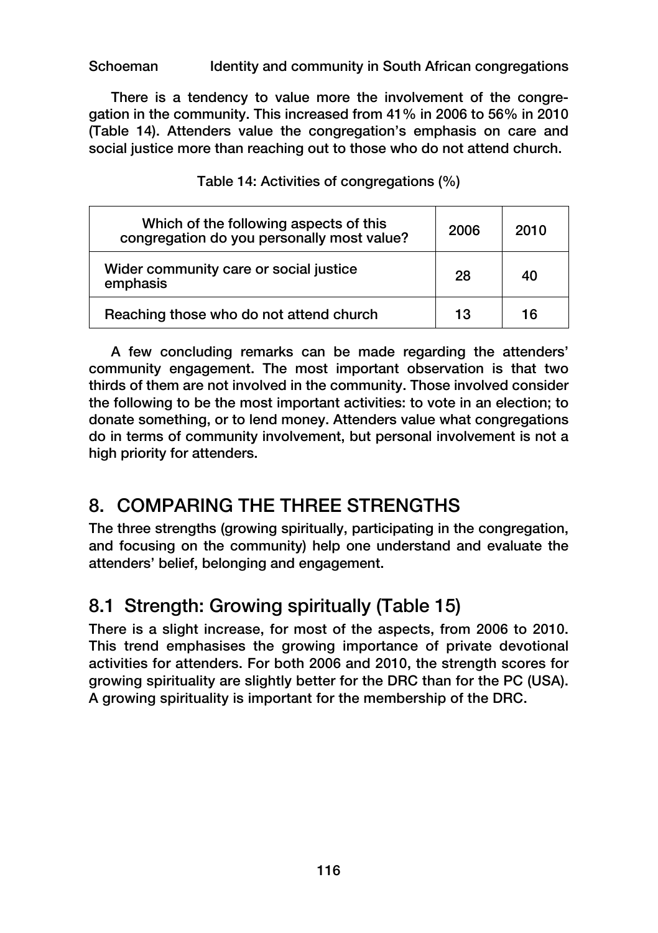There is a tendency to value more the involvement of the congregation in the community. This increased from 41% in 2006 to 56% in 2010 (Table 14). Attenders value the congregation's emphasis on care and social justice more than reaching out to those who do not attend church.

| Which of the following aspects of this<br>congregation do you personally most value? | 2006 | 2010 |
|--------------------------------------------------------------------------------------|------|------|
| Wider community care or social justice<br>emphasis                                   | 28   | 40   |
| Reaching those who do not attend church                                              | 13   | 16   |

Table 14: Activities of congregations (%)

A few concluding remarks can be made regarding the attenders' community engagement. The most important observation is that two thirds of them are not involved in the community. Those involved consider the following to be the most important activities: to vote in an election; to donate something, or to lend money. Attenders value what congregations do in terms of community involvement, but personal involvement is not a high priority for attenders.

### 8. COMPARING THE THREE STRENGTHS

The three strengths (growing spiritually, participating in the congregation, and focusing on the community) help one understand and evaluate the attenders' belief, belonging and engagement.

### 8.1 Strength: Growing spiritually (Table 15)

There is a slight increase, for most of the aspects, from 2006 to 2010. This trend emphasises the growing importance of private devotional activities for attenders. For both 2006 and 2010, the strength scores for growing spirituality are slightly better for the DRC than for the PC (USA). A growing spirituality is important for the membership of the DRC.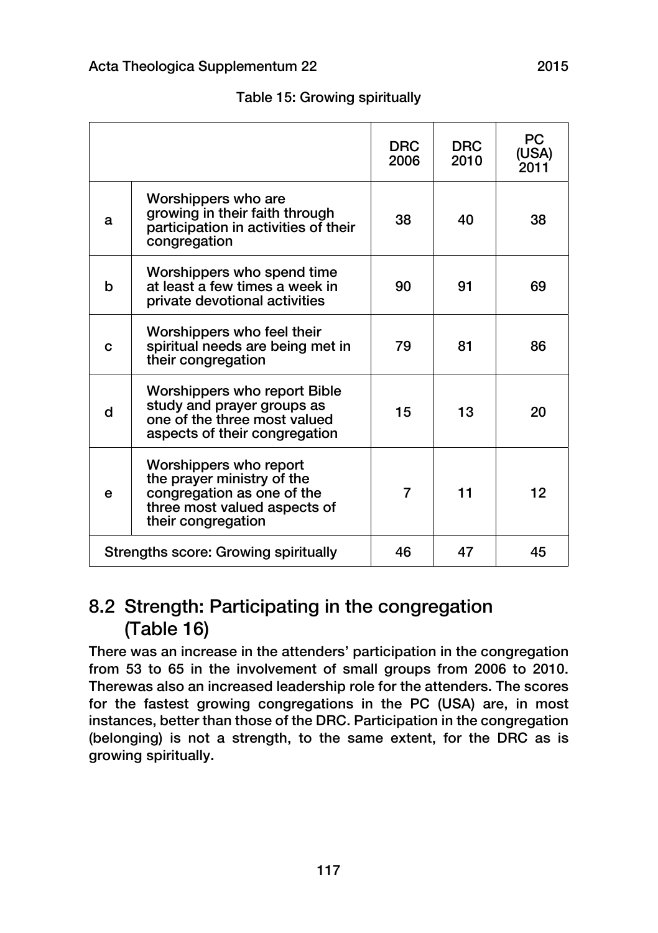|   |                                                                                                                                          | <b>DRC</b><br>2006 | <b>DRC</b><br>2010 | PC.<br>(USA)<br>2011 |
|---|------------------------------------------------------------------------------------------------------------------------------------------|--------------------|--------------------|----------------------|
| a | Worshippers who are<br>growing in their faith through<br>participation in activities of their<br>congregation                            | 38                 | 40                 | 38                   |
| h | Worshippers who spend time<br>at least a few times a week in<br>private devotional activities                                            | 90                 | 91                 | 69                   |
| C | Worshippers who feel their<br>spiritual needs are being met in<br>their congregation                                                     | 79                 | 81                 | 86                   |
| d | Worshippers who report Bible<br>study and prayer groups as<br>one of the three most valued<br>aspects of their congregation              | 15                 | 13                 | 20                   |
| e | Worshippers who report<br>the prayer ministry of the<br>congregation as one of the<br>three most valued aspects of<br>their congregation | 7                  | 11                 | 12                   |
|   | Strengths score: Growing spiritually                                                                                                     | 46                 | 47                 | 45                   |

Table 15: Growing spiritually

### 8.2 Strength: Participating in the congregation (Table 16)

There was an increase in the attenders' participation in the congregation from 53 to 65 in the involvement of small groups from 2006 to 2010. Therewas also an increased leadership role for the attenders. The scores for the fastest growing congregations in the PC (USA) are, in most instances, better than those of the DRC. Participation in the congregation (belonging) is not a strength, to the same extent, for the DRC as is growing spiritually.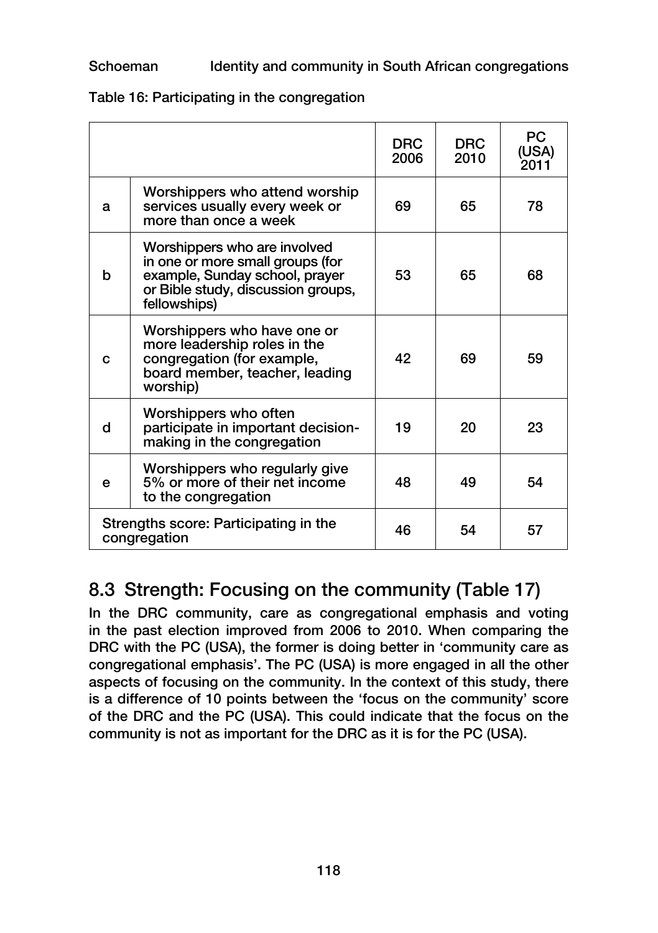|   |                                                                                                                                                          | <b>DRC</b><br>2006 | <b>DRC</b><br>2010 | PC.<br>(USA)<br>2011 |
|---|----------------------------------------------------------------------------------------------------------------------------------------------------------|--------------------|--------------------|----------------------|
| a | Worshippers who attend worship<br>services usually every week or<br>more than once a week                                                                | 69                 | 65                 | 78                   |
| b | Worshippers who are involved<br>in one or more small groups (for<br>example, Sunday school, prayer<br>or Bible study, discussion groups,<br>fellowships) | 53                 | 65                 | 68                   |
| C | Worshippers who have one or<br>more leadership roles in the<br>congregation (for example,<br>board member, teacher, leading<br>worship)                  | 42                 | 69                 | 59                   |
| d | Worshippers who often<br>participate in important decision-<br>making in the congregation                                                                | 19                 | 20                 | 23                   |
| е | Worshippers who regularly give<br>5% or more of their net income<br>to the congregation                                                                  | 48                 | 49                 | 54                   |
|   | Strengths score: Participating in the<br>congregation                                                                                                    | 46                 | 54                 | 57                   |

### Table 16: Participating in the congregation

## 8.3 Strength: Focusing on the community (Table 17)

In the DRC community, care as congregational emphasis and voting in the past election improved from 2006 to 2010. When comparing the DRC with the PC (USA), the former is doing better in 'community care as congregational emphasis'. The PC (USA) is more engaged in all the other aspects of focusing on the community. In the context of this study, there is a difference of 10 points between the 'focus on the community' score of the DRC and the PC (USA). This could indicate that the focus on the community is not as important for the DRC as it is for the PC (USA).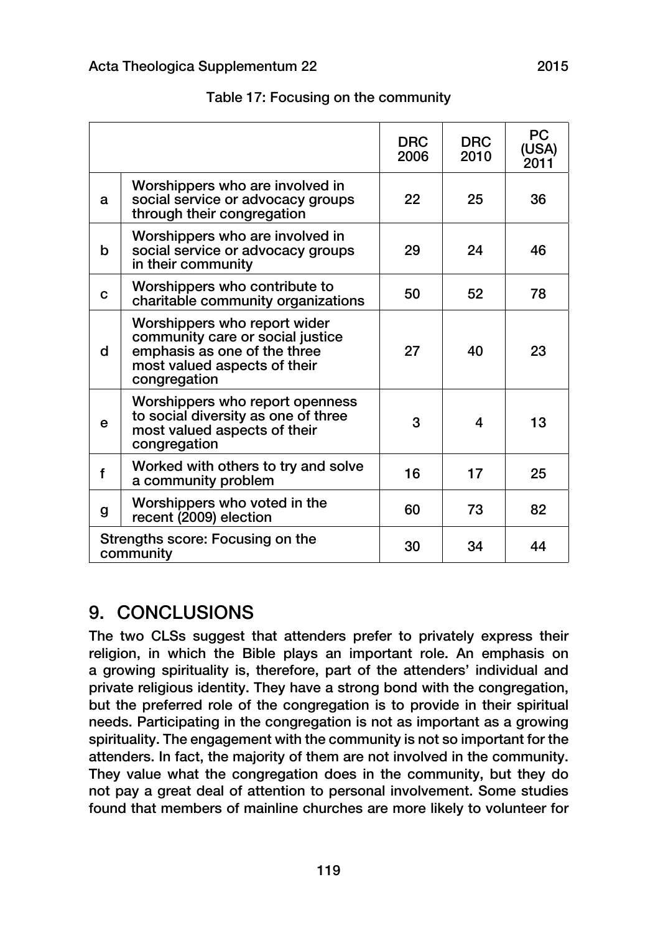|   |                                                                                                                                                  | <b>DRC</b><br>2006 | <b>DRC</b><br>2010 | <b>PC</b><br>(USA)<br>2011 |
|---|--------------------------------------------------------------------------------------------------------------------------------------------------|--------------------|--------------------|----------------------------|
| a | Worshippers who are involved in<br>social service or advocacy groups<br>through their congregation                                               | 22                 | 25                 | 36                         |
| b | Worshippers who are involved in<br>social service or advocacy groups<br>in their community                                                       | 29                 | 24                 | 46                         |
| C | Worshippers who contribute to<br>charitable community organizations                                                                              | 50                 | 52                 | 78                         |
| d | Worshippers who report wider<br>community care or social justice<br>emphasis as one of the three<br>most valued aspects of their<br>congregation | 27                 | 40                 | 23                         |
| e | Worshippers who report openness<br>to social diversity as one of three<br>most valued aspects of their<br>congregation                           | 3                  | 4                  | 13                         |
| f | Worked with others to try and solve<br>a community problem                                                                                       | 16                 | 17                 | 25                         |
| g | Worshippers who voted in the<br>recent (2009) election                                                                                           | 60                 | 73                 | 82                         |
|   | Strengths score: Focusing on the<br>community                                                                                                    | 30                 | 34                 | 44                         |

#### Table 17: Focusing on the community

### 9. CONCLUSIONS

The two CLSs suggest that attenders prefer to privately express their religion, in which the Bible plays an important role. An emphasis on a growing spirituality is, therefore, part of the attenders' individual and private religious identity. They have a strong bond with the congregation, but the preferred role of the congregation is to provide in their spiritual needs. Participating in the congregation is not as important as a growing spirituality. The engagement with the community is not so important for the attenders. In fact, the majority of them are not involved in the community. They value what the congregation does in the community, but they do not pay a great deal of attention to personal involvement. Some studies found that members of mainline churches are more likely to volunteer for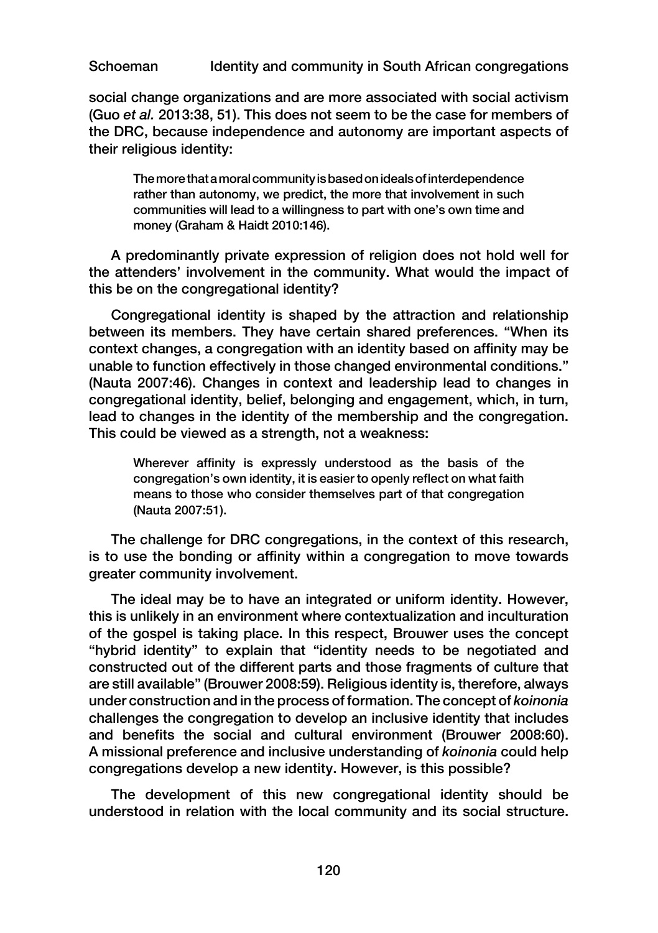social change organizations and are more associated with social activism (Guo *et al.* 2013:38, 51). This does not seem to be the case for members of the DRC, because independence and autonomy are important aspects of their religious identity:

The more that a moral community is based on ideals of interdependence rather than autonomy, we predict, the more that involvement in such communities will lead to a willingness to part with one's own time and money (Graham & Haidt 2010:146).

A predominantly private expression of religion does not hold well for the attenders' involvement in the community. What would the impact of this be on the congregational identity?

Congregational identity is shaped by the attraction and relationship between its members. They have certain shared preferences. "When its context changes, a congregation with an identity based on affinity may be unable to function effectively in those changed environmental conditions." (Nauta 2007:46). Changes in context and leadership lead to changes in congregational identity, belief, belonging and engagement, which, in turn, lead to changes in the identity of the membership and the congregation. This could be viewed as a strength, not a weakness:

Wherever affinity is expressly understood as the basis of the congregation's own identity, it is easier to openly reflect on what faith means to those who consider themselves part of that congregation (Nauta 2007:51).

The challenge for DRC congregations, in the context of this research, is to use the bonding or affinity within a congregation to move towards greater community involvement.

The ideal may be to have an integrated or uniform identity. However, this is unlikely in an environment where contextualization and inculturation of the gospel is taking place. In this respect, Brouwer uses the concept "hybrid identity" to explain that "identity needs to be negotiated and constructed out of the different parts and those fragments of culture that are still available" (Brouwer 2008:59). Religious identity is, therefore, always under construction and in the process of formation. The concept of *koinonia* challenges the congregation to develop an inclusive identity that includes and benefits the social and cultural environment (Brouwer 2008:60). A missional preference and inclusive understanding of *koinonia* could help congregations develop a new identity. However, is this possible?

The development of this new congregational identity should be understood in relation with the local community and its social structure.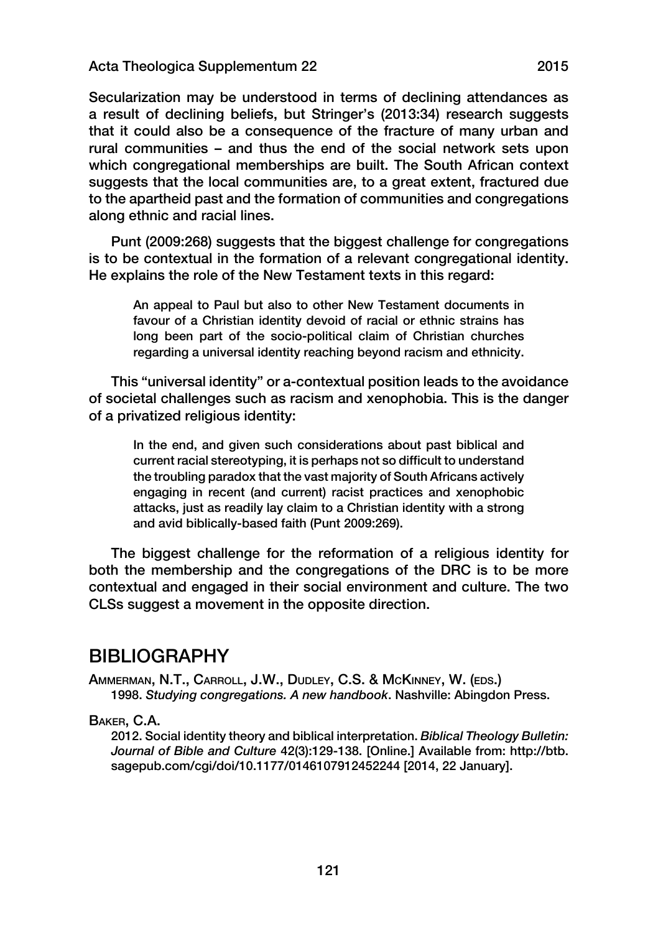Secularization may be understood in terms of declining attendances as a result of declining beliefs, but Stringer's (2013:34) research suggests that it could also be a consequence of the fracture of many urban and rural communities – and thus the end of the social network sets upon which congregational memberships are built. The South African context suggests that the local communities are, to a great extent, fractured due to the apartheid past and the formation of communities and congregations along ethnic and racial lines.

Punt (2009:268) suggests that the biggest challenge for congregations is to be contextual in the formation of a relevant congregational identity. He explains the role of the New Testament texts in this regard:

An appeal to Paul but also to other New Testament documents in favour of a Christian identity devoid of racial or ethnic strains has long been part of the socio-political claim of Christian churches regarding a universal identity reaching beyond racism and ethnicity.

This "universal identity" or a-contextual position leads to the avoidance of societal challenges such as racism and xenophobia. This is the danger of a privatized religious identity:

In the end, and given such considerations about past biblical and current racial stereotyping, it is perhaps not so difficult to understand the troubling paradox that the vast majority of South Africans actively engaging in recent (and current) racist practices and xenophobic attacks, just as readily lay claim to a Christian identity with a strong and avid biblically-based faith (Punt 2009:269).

The biggest challenge for the reformation of a religious identity for both the membership and the congregations of the DRC is to be more contextual and engaged in their social environment and culture. The two CLSs suggest a movement in the opposite direction.

### BIBLIOGRAPHY

Ammerman, N.T., Carroll, J.W., Dudley, C.S. & McKinney, W. (eds.) 1998. *Studying congregations. A new handbook*. Nashville: Abingdon Press.

#### Baker, C.A.

2012. Social identity theory and biblical interpretation. *Biblical Theology Bulletin: Journal of Bible and Culture* 42(3):129-138. [Online.] Available from: http://btb. sagepub.com/cgi/doi/10.1177/0146107912452244 [2014, 22 January].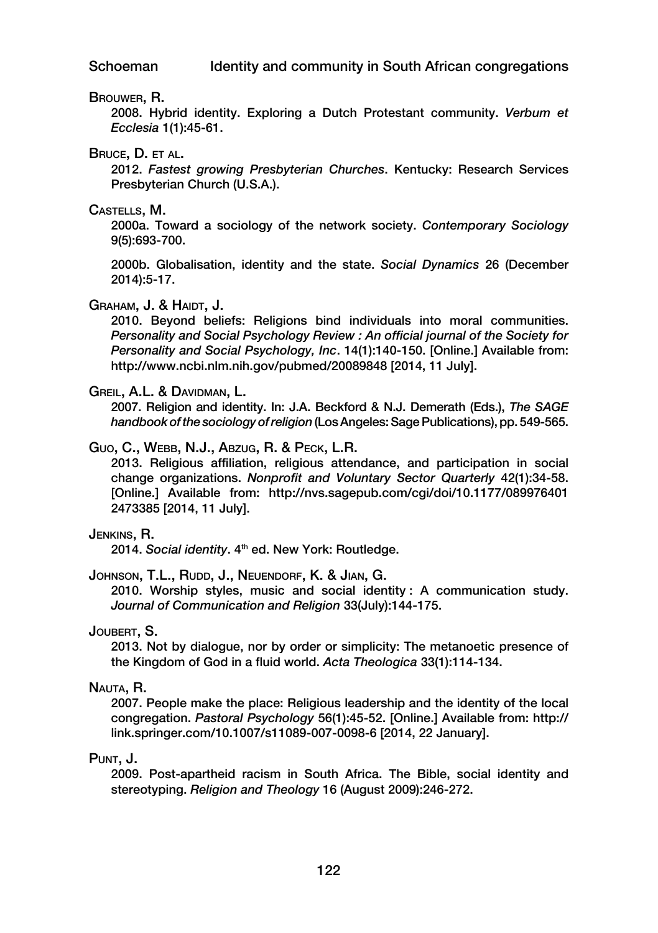#### Brouwer, R.

2008. Hybrid identity. Exploring a Dutch Protestant community. *Verbum et Ecclesia* 1(1):45-61.

#### Bruce, D. et al.

2012. *Fastest growing Presbyterian Churches*. Kentucky: Research Services Presbyterian Church (U.S.A.).

#### Castells, M.

2000a. Toward a sociology of the network society. *Contemporary Sociology* 9(5):693-700.

2000b. Globalisation, identity and the state. *Social Dynamics* 26 (December 2014):5-17.

#### GRAHAM, J. & HAIDT, J.

2010. Beyond beliefs: Religions bind individuals into moral communities. *Personality and Social Psychology Review : An official journal of the Society for Personality and Social Psychology, Inc*. 14(1):140-150. [Online.] Available from: http://www.ncbi.nlm.nih.gov/pubmed/20089848 [2014, 11 July].

#### Greil, A.L. & Davidman, L.

2007. Religion and identity. In: J.A. Beckford & N.J. Demerath (Eds.), *The SAGE handbook of the sociology of religion* (Los Angeles: Sage Publications), pp. 549-565.

#### Guo, C., Webb, N.J., Abzug, R. & Peck, L.R.

2013. Religious affiliation, religious attendance, and participation in social change organizations. *Nonprofit and Voluntary Sector Quarterly* 42(1):34-58. [Online.] Available from: http://nvs.sagepub.com/cgi/doi/10.1177/089976401 2473385 [2014, 11 July].

#### Jenkins, R.

2014. *Social identity*. 4th ed. New York: Routledge.

#### JOHNSON, T.L., RUDD, J., NEUENDORF, K. & JIAN, G.

2010. Worship styles, music and social identity : A communication study. *Journal of Communication and Religion* 33(July):144-175.

#### Joubert, S.

2013. Not by dialogue, nor by order or simplicity: The metanoetic presence of the Kingdom of God in a fluid world. *Acta Theologica* 33(1):114-134.

#### Nauta, R.

2007. People make the place: Religious leadership and the identity of the local congregation. *Pastoral Psychology* 56(1):45-52. [Online.] Available from: http:// link.springer.com/10.1007/s11089-007-0098-6 [2014, 22 January].

#### Punt, J.

2009. Post-apartheid racism in South Africa. The Bible, social identity and stereotyping. *Religion and Theology* 16 (August 2009):246-272.